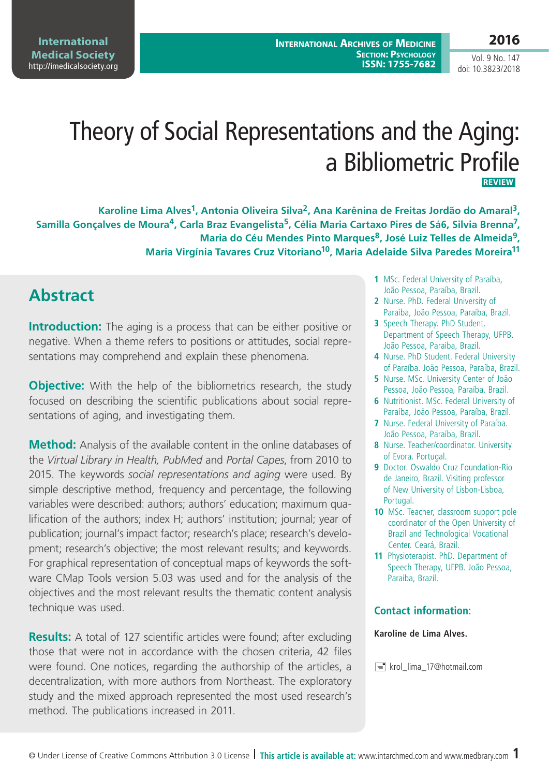# Theory of Social Representations and the Aging: a Bibliometric Profile  **REVIEW**

Karoline Lima Alves<sup>1</sup>, Antonia Oliveira Silva<sup>2</sup>, Ana Karênina de Freitas Jordão do Amaral<sup>3</sup>, **Samilla Gonçalves de Moura4, Carla Braz Evangelista5, Célia Maria Cartaxo Pires de Sá6, Silvia Brenna7, Maria do Céu Mendes Pinto Marques8, José Luiz Telles de Almeida9, Maria Virgínia Tavares Cruz Vitoriano10, Maria Adelaide Silva Paredes Moreira11**

# **Abstract**

**Introduction:** The aging is a process that can be either positive or negative. When a theme refers to positions or attitudes, social representations may comprehend and explain these phenomena.

**Objective:** With the help of the bibliometrics research, the study focused on describing the scientific publications about social representations of aging, and investigating them.

**Method:** Analysis of the available content in the online databases of the *Virtual Library in Health, PubMed* and *Portal Capes*, from 2010 to 2015. The keywords *social representations and aging* were used. By simple descriptive method, frequency and percentage, the following variables were described: authors; authors' education; maximum qualification of the authors; index H; authors' institution; journal; year of publication; journal's impact factor; research's place; research's development; research's objective; the most relevant results; and keywords. For graphical representation of conceptual maps of keywords the software CMap Tools version 5.03 was used and for the analysis of the objectives and the most relevant results the thematic content analysis technique was used.

**Results:** A total of 127 scientific articles were found; after excluding those that were not in accordance with the chosen criteria, 42 files were found. One notices, regarding the authorship of the articles, a decentralization, with more authors from Northeast. The exploratory study and the mixed approach represented the most used research's method. The publications increased in 2011.

- **1** MSc. Federal University of Paraíba, João Pessoa, Paraíba, Brazil.
- **2** Nurse. PhD. Federal University of Paraíba, João Pessoa, Paraíba, Brazil.
- **3** Speech Therapy. PhD Student. Department of Speech Therapy, UFPB. João Pessoa, Paraiba, Brazil.
- **4** Nurse. PhD Student. Federal University of Paraíba. João Pessoa, Paraíba, Brazil.
- **5** Nurse. MSc. University Center of João Pessoa, João Pessoa, Paraíba. Brazil.
- **6** Nutritionist. MSc. Federal University of Paraíba, João Pessoa, Paraíba, Brazil.
- **7** Nurse. Federal University of Paraíba. João Pessoa, Paraíba, Brazil.
- **8** Nurse. Teacher/coordinator. University of Evora. Portugal.
- **9** Doctor. Oswaldo Cruz Foundation-Rio de Janeiro, Brazil. Visiting professor of New University of Lisbon-Lisboa, Portugal.
- **10** MSc. Teacher, classroom support pole coordinator of the Open University of Brazil and Technological Vocational Center. Ceará, Brazil.
- **11** Physioterapist. PhD. Department of Speech Therapy, UFPB. João Pessoa, Paraiba, Brazil.

#### **Contact information:**

#### **Karoline de Lima Alves.**

 $\equiv$  krol lima 17@hotmail.com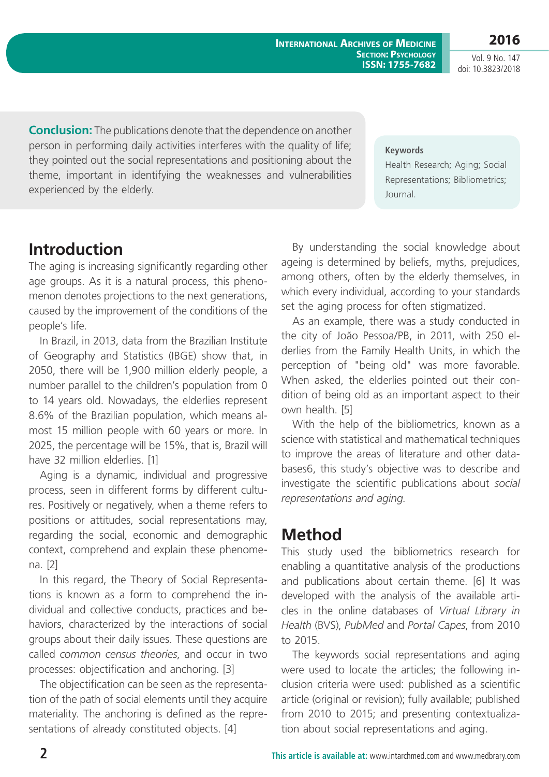**International Archives of Medicine Section: Psychology ISSN: 1755-7682**

**2016** Vol. 9 No. 147

doi: 10.3823/2018

**Conclusion:** The publications denote that the dependence on another person in performing daily activities interferes with the quality of life; they pointed out the social representations and positioning about the theme, important in identifying the weaknesses and vulnerabilities experienced by the elderly.

#### **Keywords**

Health Research; Aging; Social Representations; Bibliometrics; Journal.

### **Introduction**

The aging is increasing significantly regarding other age groups. As it is a natural process, this phenomenon denotes projections to the next generations, caused by the improvement of the conditions of the people's life.

In Brazil, in 2013, data from the Brazilian Institute of Geography and Statistics (IBGE) show that, in 2050, there will be 1,900 million elderly people, a number parallel to the children's population from 0 to 14 years old. Nowadays, the elderlies represent 8.6% of the Brazilian population, which means almost 15 million people with 60 years or more. In 2025, the percentage will be 15%, that is, Brazil will have 32 million elderlies. [1]

Aging is a dynamic, individual and progressive process, seen in different forms by different cultures. Positively or negatively, when a theme refers to positions or attitudes, social representations may, regarding the social, economic and demographic context, comprehend and explain these phenomena. [2]

In this regard, the Theory of Social Representations is known as a form to comprehend the individual and collective conducts, practices and behaviors, characterized by the interactions of social groups about their daily issues. These questions are called *common census theories*, and occur in two processes: objectification and anchoring. [3]

The objectification can be seen as the representation of the path of social elements until they acquire materiality. The anchoring is defined as the representations of already constituted objects. [4]

By understanding the social knowledge about ageing is determined by beliefs, myths, prejudices, among others, often by the elderly themselves, in which every individual, according to your standards set the aging process for often stigmatized.

As an example, there was a study conducted in the city of João Pessoa/PB, in 2011, with 250 elderlies from the Family Health Units, in which the perception of "being old" was more favorable. When asked, the elderlies pointed out their condition of being old as an important aspect to their own health. [5]

With the help of the bibliometrics, known as a science with statistical and mathematical techniques to improve the areas of literature and other databases6, this study's objective was to describe and investigate the scientific publications about *social representations and aging*.

### **Method**

This study used the bibliometrics research for enabling a quantitative analysis of the productions and publications about certain theme. [6] It was developed with the analysis of the available articles in the online databases of *Virtual Library in Health* (BVS), *PubMed* and *Portal Capes*, from 2010 to 2015.

The keywords social representations and aging were used to locate the articles; the following inclusion criteria were used: published as a scientific article (original or revision); fully available; published from 2010 to 2015; and presenting contextualization about social representations and aging.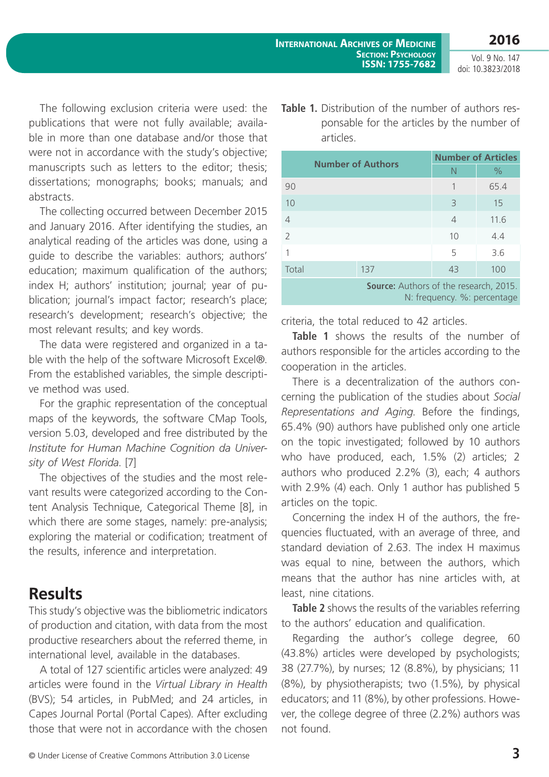The following exclusion criteria were used: the publications that were not fully available; available in more than one database and/or those that were not in accordance with the study's objective; manuscripts such as letters to the editor; thesis; dissertations; monographs; books; manuals; and abstracts.

The collecting occurred between December 2015 and January 2016. After identifying the studies, an analytical reading of the articles was done, using a guide to describe the variables: authors; authors' education; maximum qualification of the authors; index H; authors' institution; journal; year of publication; journal's impact factor; research's place; research's development; research's objective; the most relevant results; and key words.

The data were registered and organized in a table with the help of the software Microsoft Excel®. From the established variables, the simple descriptive method was used.

For the graphic representation of the conceptual maps of the keywords, the software CMap Tools, version 5.03, developed and free distributed by the *Institute for Human Machine Cognition da University of West Florida*. [7]

The objectives of the studies and the most relevant results were categorized according to the Content Analysis Technique, Categorical Theme [8], in which there are some stages, namely: pre-analysis; exploring the material or codification; treatment of the results, inference and interpretation.

### **Results**

This study's objective was the bibliometric indicators of production and citation, with data from the most productive researchers about the referred theme, in international level, available in the databases.

A total of 127 scientific articles were analyzed: 49 articles were found in the *Virtual Library in Health*  (BVS); 54 articles, in PubMed; and 24 articles, in Capes Journal Portal (Portal Capes). After excluding those that were not in accordance with the chosen **Table 1.** Distribution of the number of authors responsable for the articles by the number of articles.

|                                                                          | <b>Number of Authors</b> |    | <b>Number of Articles</b> |  |  |
|--------------------------------------------------------------------------|--------------------------|----|---------------------------|--|--|
|                                                                          |                          | N  | $\%$                      |  |  |
| 90                                                                       |                          | 1  | 65.4                      |  |  |
| 10                                                                       |                          | 3  | 15                        |  |  |
| $\overline{4}$                                                           |                          | 4  | 11.6                      |  |  |
| $\mathcal{L}$                                                            |                          | 10 | 4.4                       |  |  |
|                                                                          |                          | 5  | 3.6                       |  |  |
| Total                                                                    | 137                      | 43 | 100                       |  |  |
| Source: Authors of the research, 2015.<br>$N!$ froquency $0'$ porcontage |                          |    |                           |  |  |

N: frequency. %: percentage

criteria, the total reduced to 42 articles.

**Table 1** shows the results of the number of authors responsible for the articles according to the cooperation in the articles.

There is a decentralization of the authors concerning the publication of the studies about *Social Representations and Aging*. Before the findings, 65.4% (90) authors have published only one article on the topic investigated; followed by 10 authors who have produced, each, 1.5% (2) articles; 2 authors who produced 2.2% (3), each; 4 authors with 2.9% (4) each. Only 1 author has published 5 articles on the topic.

Concerning the index H of the authors, the frequencies fluctuated, with an average of three, and standard deviation of 2.63. The index H maximus was equal to nine, between the authors, which means that the author has nine articles with, at least, nine citations.

**Table 2** shows the results of the variables referring to the authors' education and qualification.

Regarding the author's college degree, 60 (43.8%) articles were developed by psychologists; 38 (27.7%), by nurses; 12 (8.8%), by physicians; 11 (8%), by physiotherapists; two (1.5%), by physical educators; and 11 (8%), by other professions. However, the college degree of three (2.2%) authors was not found.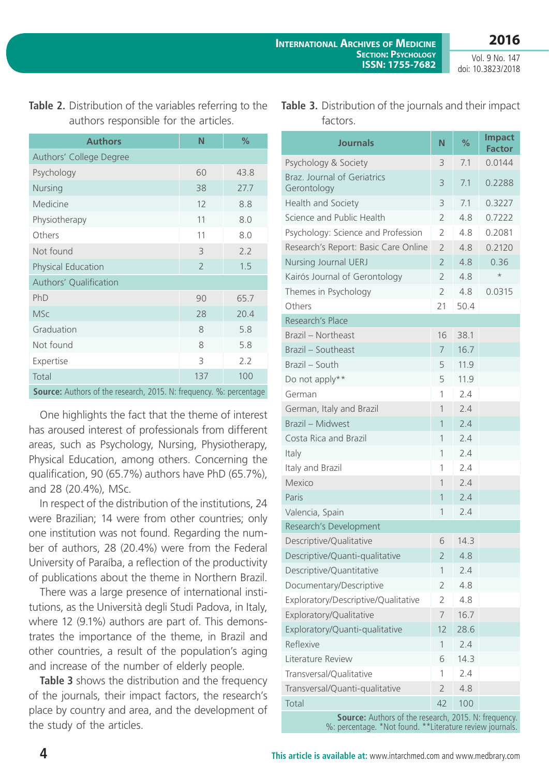**2016**

Vol. 9 No. 147 doi: 10.3823/2018

| Table 2. Distribution of the variables referring to the |
|---------------------------------------------------------|
| authors responsible for the articles.                   |

| <b>Authors</b>                                                            | N              | %    |  |  |
|---------------------------------------------------------------------------|----------------|------|--|--|
| Authors' College Degree                                                   |                |      |  |  |
| Psychology                                                                | 60             | 43.8 |  |  |
| Nursing                                                                   | 38             | 27.7 |  |  |
| Medicine                                                                  | 12             | 8.8  |  |  |
| Physiotherapy                                                             | 11             | 8.0  |  |  |
| Others                                                                    | 11             | 8.0  |  |  |
| Not found                                                                 | 3              | 2.2  |  |  |
| <b>Physical Education</b>                                                 | $\overline{2}$ | 1.5  |  |  |
| Authors' Qualification                                                    |                |      |  |  |
| PhD                                                                       | 90             | 65.7 |  |  |
| <b>MSc</b>                                                                | 28             | 20.4 |  |  |
| Graduation                                                                | 8              | 5.8  |  |  |
| Not found                                                                 | 8              | 5.8  |  |  |
| Expertise                                                                 | 3              | 2.2  |  |  |
| Total                                                                     | 137            | 100  |  |  |
| <b>Source:</b> Authors of the research, 2015. N: frequency. %: percentage |                |      |  |  |

One highlights the fact that the theme of interest has aroused interest of professionals from different areas, such as Psychology, Nursing, Physiotherapy, Physical Education, among others. Concerning the qualification, 90 (65.7%) authors have PhD (65.7%), and 28 (20.4%), MSc.

In respect of the distribution of the institutions, 24 were Brazilian; 14 were from other countries; only one institution was not found. Regarding the number of authors, 28 (20.4%) were from the Federal University of Paraíba, a reflection of the productivity of publications about the theme in Northern Brazil.

There was a large presence of international institutions, as the Università degli Studi Padova, in Italy, where 12 (9.1%) authors are part of. This demonstrates the importance of the theme, in Brazil and other countries, a result of the population's aging and increase of the number of elderly people.

**Table 3** shows the distribution and the frequency of the journals, their impact factors, the research's place by country and area, and the development of the study of the articles.

| <b>Table 3.</b> Distribution of the journals and their impact |
|---------------------------------------------------------------|
| factors.                                                      |

| <b>Journals</b>                                                                                                         | N              | $\frac{9}{6}$ | <b>Impact</b><br><b>Factor</b> |  |
|-------------------------------------------------------------------------------------------------------------------------|----------------|---------------|--------------------------------|--|
| Psychology & Society                                                                                                    |                | 7.1           | 0.0144                         |  |
| <b>Braz. Journal of Geriatrics</b><br>Gerontology                                                                       | 3              | 7.1           | 0.2288                         |  |
| Health and Society                                                                                                      | 3              | 7.1           | 0.3227                         |  |
| Science and Public Health                                                                                               | $\overline{2}$ | 4.8           | 0.7222                         |  |
| Psychology: Science and Profession                                                                                      | $\overline{2}$ | 4.8           | 0.2081                         |  |
| Research's Report: Basic Care Online                                                                                    | $\overline{2}$ | 4.8           | 0.2120                         |  |
| <b>Nursing Journal UERJ</b>                                                                                             | $\overline{2}$ | 4.8           | 0.36                           |  |
| Kairós Journal of Gerontology                                                                                           | $\overline{2}$ | 4.8           | $^{\star}$                     |  |
| Themes in Psychology                                                                                                    | $\overline{2}$ | 4.8           | 0.0315                         |  |
| Others                                                                                                                  | 21             | 50.4          |                                |  |
| Research's Place                                                                                                        |                |               |                                |  |
| Brazil - Northeast                                                                                                      | 16             | 38.1          |                                |  |
| Brazil - Southeast                                                                                                      | 7              | 16.7          |                                |  |
| Brazil - South                                                                                                          | 5              | 11.9          |                                |  |
| Do not apply**                                                                                                          | 5              | 11.9          |                                |  |
| German                                                                                                                  | 1              | 2.4           |                                |  |
| German, Italy and Brazil                                                                                                | 1              | 2.4           |                                |  |
| Brazil - Midwest                                                                                                        | 1              | 2.4           |                                |  |
| Costa Rica and Brazil                                                                                                   | 1              | 2.4           |                                |  |
| Italy                                                                                                                   | 1              | 2.4           |                                |  |
| Italy and Brazil                                                                                                        | 1              | 2.4           |                                |  |
| Mexico                                                                                                                  | 1              | 2.4           |                                |  |
| Paris                                                                                                                   | 1              | 2.4           |                                |  |
| Valencia, Spain                                                                                                         | $\mathbf 1$    | 2.4           |                                |  |
| Research's Development                                                                                                  |                |               |                                |  |
| Descriptive/Qualitative                                                                                                 | 6              | 14.3          |                                |  |
| Descriptive/Quanti-qualitative                                                                                          | $\overline{2}$ | 4.8           |                                |  |
| Descriptive/Quantitative                                                                                                | 1              | 2.4           |                                |  |
| Documentary/Descriptive                                                                                                 | 2              | 4.8           |                                |  |
| Exploratory/Descriptive/Qualitative                                                                                     | $\overline{2}$ | 4.8           |                                |  |
| Exploratory/Qualitative                                                                                                 | 7              | 16.7          |                                |  |
| Exploratory/Quanti-qualitative                                                                                          | 12             | 28.6          |                                |  |
| Reflexive                                                                                                               | 1              | 2.4           |                                |  |
| Literature Review                                                                                                       |                | 14.3          |                                |  |
| Transversal/Qualitative                                                                                                 |                | 2.4           |                                |  |
| Transversal/Quanti-qualitative                                                                                          |                | 4.8           |                                |  |
| Total                                                                                                                   | 42             | 100           |                                |  |
| <b>Source:</b> Authors of the research, 2015. N: frequency.<br>%: percentage. *Not found. **Literature review journals. |                |               |                                |  |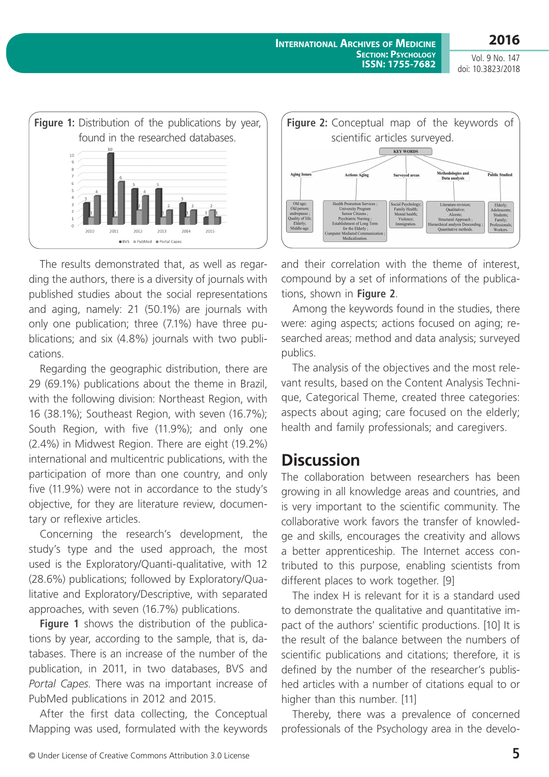

The results demonstrated that, as well as regarding the authors, there is a diversity of journals with published studies about the social representations and aging, namely: 21 (50.1%) are journals with only one publication; three (7.1%) have three publications; and six (4.8%) journals with two publications.

Regarding the geographic distribution, there are 29 (69.1%) publications about the theme in Brazil, with the following division: Northeast Region, with 16 (38.1%); Southeast Region, with seven (16.7%); South Region, with five (11.9%); and only one (2.4%) in Midwest Region. There are eight (19.2%) international and multicentric publications, with the participation of more than one country, and only five (11.9%) were not in accordance to the study's objective, for they are literature review, documentary or reflexive articles.

Concerning the research's development, the study's type and the used approach, the most used is the Exploratory/Quanti-qualitative, with 12 (28.6%) publications; followed by Exploratory/Qualitative and Exploratory/Descriptive, with separated approaches, with seven (16.7%) publications.

**Figure 1** shows the distribution of the publications by year, according to the sample, that is, databases. There is an increase of the number of the publication, in 2011, in two databases, BVS and *Portal Capes*. There was na important increase of PubMed publications in 2012 and 2015.

After the first data collecting, the Conceptual Mapping was used, formulated with the keywords



and their correlation with the theme of interest, compound by a set of informations of the publications, shown in **Figure 2**.

Among the keywords found in the studies, there were: aging aspects; actions focused on aging; researched areas; method and data analysis; surveyed publics.

The analysis of the objectives and the most relevant results, based on the Content Analysis Technique, Categorical Theme, created three categories: aspects about aging; care focused on the elderly; health and family professionals; and caregivers.

### **Discussion**

The collaboration between researchers has been growing in all knowledge areas and countries, and is very important to the scientific community. The collaborative work favors the transfer of knowledge and skills, encourages the creativity and allows a better apprenticeship. The Internet access contributed to this purpose, enabling scientists from different places to work together. [9]

The index H is relevant for it is a standard used to demonstrate the qualitative and quantitative impact of the authors' scientific productions. [10] It is the result of the balance between the numbers of scientific publications and citations; therefore, it is defined by the number of the researcher's published articles with a number of citations equal to or higher than this number. [11]

Thereby, there was a prevalence of concerned professionals of the Psychology area in the develo-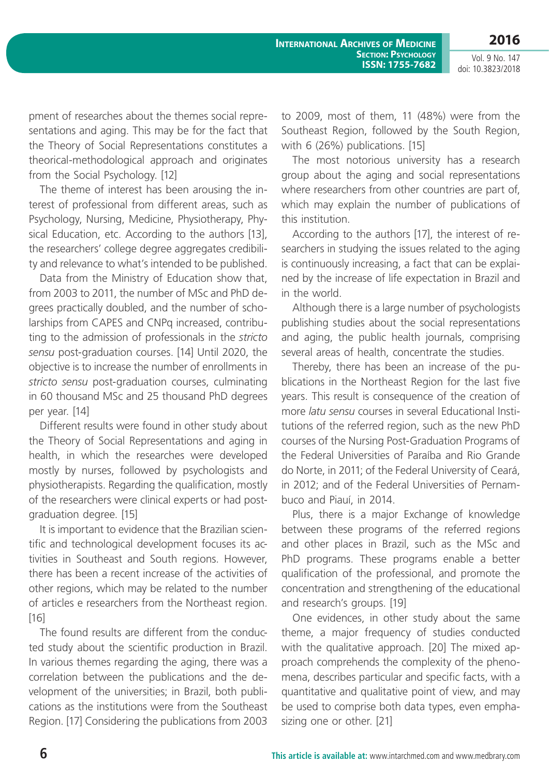pment of researches about the themes social representations and aging. This may be for the fact that the Theory of Social Representations constitutes a theorical-methodological approach and originates from the Social Psychology. [12]

The theme of interest has been arousing the interest of professional from different areas, such as Psychology, Nursing, Medicine, Physiotherapy, Physical Education, etc. According to the authors [13], the researchers' college degree aggregates credibility and relevance to what's intended to be published.

Data from the Ministry of Education show that, from 2003 to 2011, the number of MSc and PhD degrees practically doubled, and the number of scholarships from CAPES and CNPq increased, contributing to the admission of professionals in the *stricto sensu* post-graduation courses. [14] Until 2020, the objective is to increase the number of enrollments in *stricto sensu* post-graduation courses, culminating in 60 thousand MSc and 25 thousand PhD degrees per year. [14]

Different results were found in other study about the Theory of Social Representations and aging in health, in which the researches were developed mostly by nurses, followed by psychologists and physiotherapists. Regarding the qualification, mostly of the researchers were clinical experts or had postgraduation degree. [15]

It is important to evidence that the Brazilian scientific and technological development focuses its activities in Southeast and South regions. However, there has been a recent increase of the activities of other regions, which may be related to the number of articles e researchers from the Northeast region. [16]

The found results are different from the conducted study about the scientific production in Brazil. In various themes regarding the aging, there was a correlation between the publications and the development of the universities; in Brazil, both publications as the institutions were from the Southeast Region. [17] Considering the publications from 2003 to 2009, most of them, 11 (48%) were from the Southeast Region, followed by the South Region, with 6 (26%) publications. [15]

The most notorious university has a research group about the aging and social representations where researchers from other countries are part of, which may explain the number of publications of this institution.

According to the authors [17], the interest of researchers in studying the issues related to the aging is continuously increasing, a fact that can be explained by the increase of life expectation in Brazil and in the world.

Although there is a large number of psychologists publishing studies about the social representations and aging, the public health journals, comprising several areas of health, concentrate the studies.

Thereby, there has been an increase of the publications in the Northeast Region for the last five years. This result is consequence of the creation of more *latu sensu* courses in several Educational Institutions of the referred region, such as the new PhD courses of the Nursing Post-Graduation Programs of the Federal Universities of Paraíba and Rio Grande do Norte, in 2011; of the Federal University of Ceará, in 2012; and of the Federal Universities of Pernambuco and Piauí, in 2014.

Plus, there is a major Exchange of knowledge between these programs of the referred regions and other places in Brazil, such as the MSc and PhD programs. These programs enable a better qualification of the professional, and promote the concentration and strengthening of the educational and research's groups. [19]

One evidences, in other study about the same theme, a major frequency of studies conducted with the qualitative approach. [20] The mixed approach comprehends the complexity of the phenomena, describes particular and specific facts, with a quantitative and qualitative point of view, and may be used to comprise both data types, even emphasizing one or other. [21]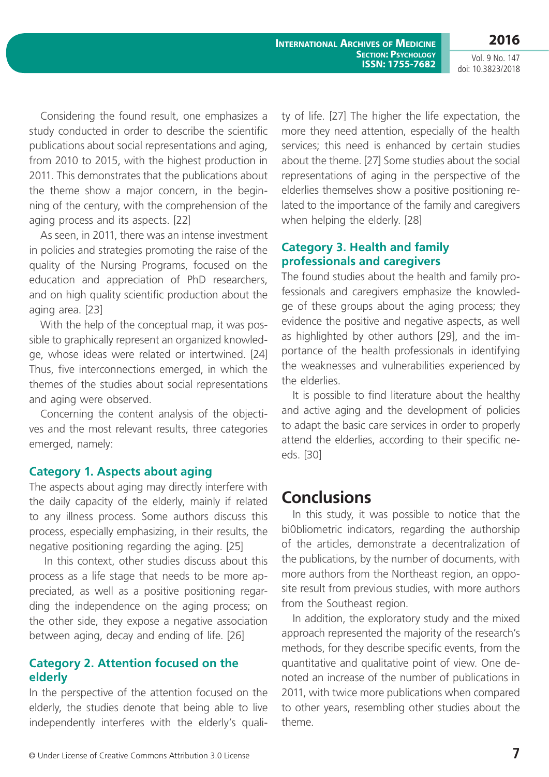**International Archives of Medicine Section: Psychology ISSN: 1755-7682** **2016**

Vol. 9 No. 147 doi: 10.3823/2018

Considering the found result, one emphasizes a study conducted in order to describe the scientific publications about social representations and aging, from 2010 to 2015, with the highest production in 2011. This demonstrates that the publications about the theme show a major concern, in the beginning of the century, with the comprehension of the aging process and its aspects. [22]

As seen, in 2011, there was an intense investment in policies and strategies promoting the raise of the quality of the Nursing Programs, focused on the education and appreciation of PhD researchers, and on high quality scientific production about the aging area. [23]

With the help of the conceptual map, it was possible to graphically represent an organized knowledge, whose ideas were related or intertwined. [24] Thus, five interconnections emerged, in which the themes of the studies about social representations and aging were observed.

Concerning the content analysis of the objectives and the most relevant results, three categories emerged, namely:

#### **Category 1. Aspects about aging**

The aspects about aging may directly interfere with the daily capacity of the elderly, mainly if related to any illness process. Some authors discuss this process, especially emphasizing, in their results, the negative positioning regarding the aging. [25]

 In this context, other studies discuss about this process as a life stage that needs to be more appreciated, as well as a positive positioning regarding the independence on the aging process; on the other side, they expose a negative association between aging, decay and ending of life. [26]

#### **Category 2. Attention focused on the elderly**

In the perspective of the attention focused on the elderly, the studies denote that being able to live independently interferes with the elderly's quality of life. [27] The higher the life expectation, the more they need attention, especially of the health services; this need is enhanced by certain studies about the theme. [27] Some studies about the social representations of aging in the perspective of the elderlies themselves show a positive positioning related to the importance of the family and caregivers when helping the elderly. [28]

#### **Category 3. Health and family professionals and caregivers**

The found studies about the health and family professionals and caregivers emphasize the knowledge of these groups about the aging process; they evidence the positive and negative aspects, as well as highlighted by other authors [29], and the importance of the health professionals in identifying the weaknesses and vulnerabilities experienced by the elderlies.

It is possible to find literature about the healthy and active aging and the development of policies to adapt the basic care services in order to properly attend the elderlies, according to their specific needs. [30]

### **Conclusions**

In this study, it was possible to notice that the bi0bliometric indicators, regarding the authorship of the articles, demonstrate a decentralization of the publications, by the number of documents, with more authors from the Northeast region, an opposite result from previous studies, with more authors from the Southeast region.

In addition, the exploratory study and the mixed approach represented the majority of the research's methods, for they describe specific events, from the quantitative and qualitative point of view. One denoted an increase of the number of publications in 2011, with twice more publications when compared to other years, resembling other studies about the theme.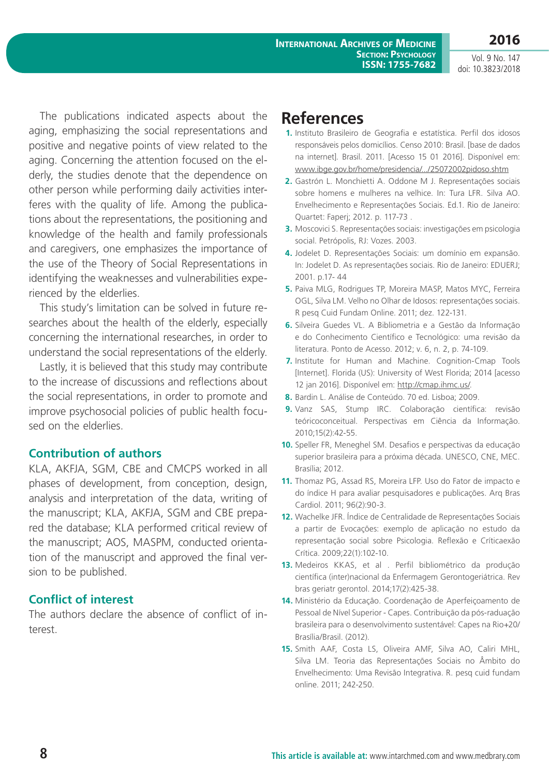**2016**

The publications indicated aspects about the aging, emphasizing the social representations and positive and negative points of view related to the aging. Concerning the attention focused on the elderly, the studies denote that the dependence on other person while performing daily activities interferes with the quality of life. Among the publications about the representations, the positioning and knowledge of the health and family professionals and caregivers, one emphasizes the importance of the use of the Theory of Social Representations in identifying the weaknesses and vulnerabilities experienced by the elderlies.

This study's limitation can be solved in future researches about the health of the elderly, especially concerning the international researches, in order to understand the social representations of the elderly.

Lastly, it is believed that this study may contribute to the increase of discussions and reflections about the social representations, in order to promote and improve psychosocial policies of public health focused on the elderlies.

#### **Contribution of authors**

KLA, AKFJA, SGM, CBE and CMCPS worked in all phases of development, from conception, design, analysis and interpretation of the data, writing of the manuscript; KLA, AKFJA, SGM and CBE prepared the database; KLA performed critical review of the manuscript; AOS, MASPM, conducted orientation of the manuscript and approved the final version to be published.

#### **Conflict of interest**

The authors declare the absence of conflict of interest.

# **References**

**1.** Instituto Brasileiro de Geografia e estatística. Perfil dos idosos responsáveis pelos domicílios. Censo 2010: Brasil. [base de dados na internet]. Brasil. 2011. [Acesso 15 01 2016]. Disponível em: [www.ibge.gov.br/home/presidencia/.../25072002pidoso.shtm](http://www.ibge.gov.br/home/presidencia/.../25072002pidoso.shtm)

**ISSN: 1755-7682**

- **2.** Gastrón L. Monchietti A. Oddone M J. Representações sociais sobre homens e mulheres na velhice. In: Tura LFR. Silva AO. Envelhecimento e Representações Sociais. Ed.1. Rio de Janeiro: Quartet: Faperj; 2012. p. 117-73 .
- **3.** Moscovici S. Representações sociais: investigações em psicologia social. Petrópolis, RJ: Vozes. 2003.
- **4.** Jodelet D. Representações Sociais: um domínio em expansão. In: Jodelet D. As representações sociais. Rio de Janeiro: EDUERJ; 2001. p.17- 44
- **5.** Paiva MLG, Rodrigues TP, Moreira MASP, Matos MYC, Ferreira OGL, Silva LM. Velho no Olhar de Idosos: representações sociais. R pesq Cuid Fundam Online. 2011; dez. 122-131.
- **6.** Silveira Guedes VL. A Bibliometria e a Gestão da Informação e do Conhecimento Científico e Tecnológico: uma revisão da literatura. Ponto de Acesso. 2012; v. 6, n. 2, p. 74-109.
- **7.** Institute for Human and Machine. Cognition-Cmap Tools [Internet]. Florida (US): University of West Florida; 2014 [acesso 12 jan 2016]. Disponível em:<http://cmap.ihmc.us/>.
- **8.** Bardin L. Análise de Conteúdo. 70 ed. Lisboa; 2009.
- **9.** Vanz SAS, Stump IRC. Colaboração científica: revisão teóricoconceitual. Perspectivas em Ciência da Informação. 2010;15(2):42-55.
- **10.** Speller FR, Meneghel SM. Desafios e perspectivas da educação superior brasileira para a próxima década. UNESCO, CNE, MEC. Brasília; 2012.
- **11.** Thomaz PG, Assad RS, Moreira LFP. Uso do Fator de impacto e do índice H para avaliar pesquisadores e publicações. Arq Bras Cardiol. 2011; 96(2):90-3.
- **12.** Wachelke JFR. Índice de Centralidade de Representações Sociais a partir de Evocações: exemplo de aplicação no estudo da representação social sobre Psicologia. Reflexão e Críticaexão Crítica. 2009;22(1):102-10.
- **13.** Medeiros KKAS, et al . Perfil bibliométrico da produção científica (inter)nacional da Enfermagem Gerontogeriátrica. Rev bras geriatr gerontol. 2014;17(2):425-38.
- **14.** Ministério da Educação. Coordenação de Aperfeiçoamento de Pessoal de Nível Superior - Capes. Contribuição da pós-raduação brasileira para o desenvolvimento sustentável: Capes na Rio+20/ Brasília/Brasil. (2012).
- **15.** Smith AAF, Costa LS, Oliveira AMF, Silva AO, Caliri MHL, Silva LM. Teoria das Representações Sociais no Âmbito do Envelhecimento: Uma Revisão Integrativa. R. pesq cuid fundam online. 2011; 242-250.